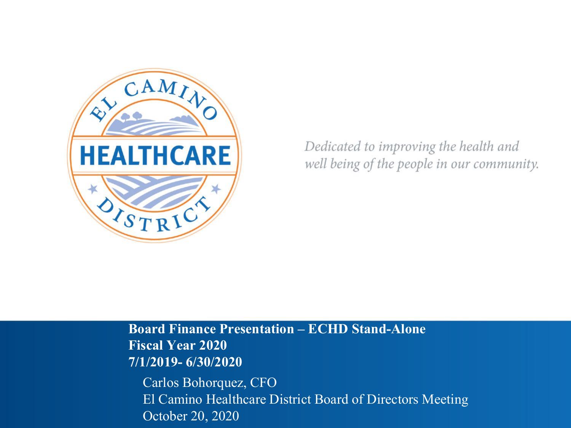

Dedicated to improving the health and well being of the people in our community.

**Board Finance Presentation – ECHD Stand-Alone Fiscal Year 2020 7/1/2019- 6/30/2020** Carlos Bohorquez, CFO

El Camino Healthcare District Board of Directors Meeting October 20, 2020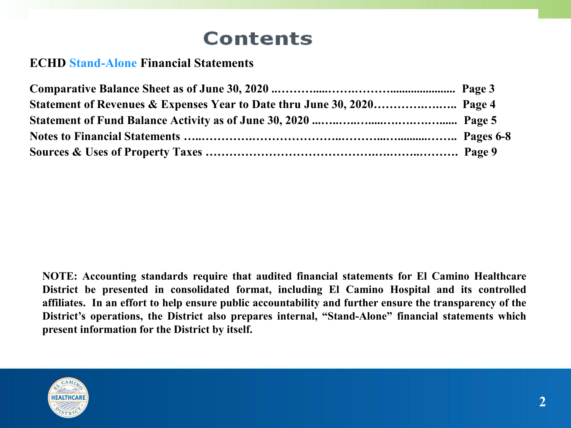# **Contents**

### **ECHD Stand-Alone Financial Statements**

**NOTE: Accounting standards require that audited financial statements for El Camino Healthcare District be presented in consolidated format, including El Camino Hospital and its controlled affiliates. In an effort to help ensure public accountability and further ensure the transparency of the District's operations, the District also prepares internal, "Stand-Alone" financial statements which present information for the District by itself.**

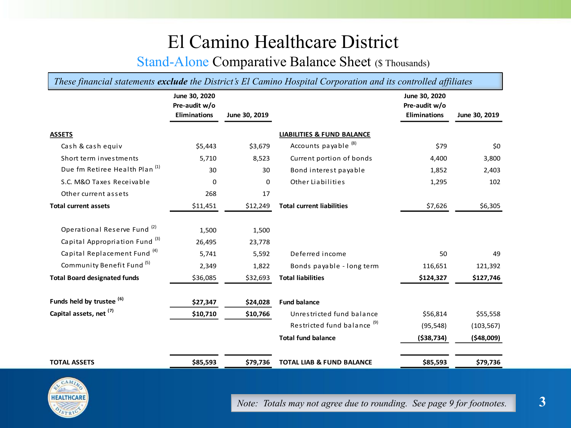## El Camino Healthcare District

### Stand-Alone Comparative Balance Sheet (\$ Thousands)

*These financial statements exclude the District's El Camino Hospital Corporation and its controlled affiliates*

|                                           | June 30, 2020<br>Pre-audit w/o |               |                                        | June 30, 2020<br>Pre-audit w/o |               |
|-------------------------------------------|--------------------------------|---------------|----------------------------------------|--------------------------------|---------------|
|                                           | <b>Eliminations</b>            | June 30, 2019 |                                        | <b>Eliminations</b>            | June 30, 2019 |
| <b>ASSETS</b>                             |                                |               | <b>LIABILITIES &amp; FUND BALANCE</b>  |                                |               |
| Cash & cash equiv                         | \$5,443                        | \$3,679       | Accounts payable <sup>(8)</sup>        | \$79                           | \$0           |
| Short term investments                    | 5,710                          | 8,523         | Current portion of bonds               | 4,400                          | 3,800         |
| Due fm Retiree Health Plan <sup>(1)</sup> | 30                             | 30            | Bond interest payable                  | 1,852                          | 2,403         |
| S.C. M&O Taxes Receivable                 | 0                              | 0             | Other Liabilities                      | 1,295                          | 102           |
| Other current assets                      | 268                            | 17            |                                        |                                |               |
| <b>Total current assets</b>               | \$11,451                       | \$12,249      | <b>Total current liabilities</b>       | \$7,626                        | \$6,305       |
|                                           |                                |               |                                        |                                |               |
| Operational Reserve Fund <sup>(2)</sup>   | 1,500                          | 1,500         |                                        |                                |               |
| Capital Appropriation Fund <sup>(3)</sup> | 26,495                         | 23,778        |                                        |                                |               |
| Capital Replacement Fund <sup>(4)</sup>   | 5,741                          | 5,592         | Deferred income                        | 50                             | 49            |
| Community Benefit Fund <sup>(5)</sup>     | 2,349                          | 1,822         | Bonds payable - long term              | 116,651                        | 121,392       |
| <b>Total Board designated funds</b>       | \$36,085                       | \$32,693      | <b>Total liabilities</b>               | \$124,327                      | \$127,746     |
|                                           |                                |               |                                        |                                |               |
| Funds held by trustee <sup>(6)</sup>      | \$27,347                       | \$24,028      | <b>Fund balance</b>                    |                                |               |
| Capital assets, net (7)                   | \$10,710                       | \$10,766      | Unrestricted fund balance              | \$56,814                       | \$55,558      |
|                                           |                                |               | Restricted fund balance <sup>(9)</sup> | (95, 548)                      | (103, 567)    |
|                                           |                                |               | <b>Total fund balance</b>              | ( \$38, 734)                   | ( \$48,009]   |
|                                           |                                |               |                                        |                                |               |
| <b>TOTAL ASSETS</b>                       | \$85,593                       | \$79,736      | <b>TOTAL LIAB &amp; FUND BALANCE</b>   | \$85,593                       | \$79,736      |



*Note: Totals may not agree due to rounding. See page 9 for footnotes.* **3**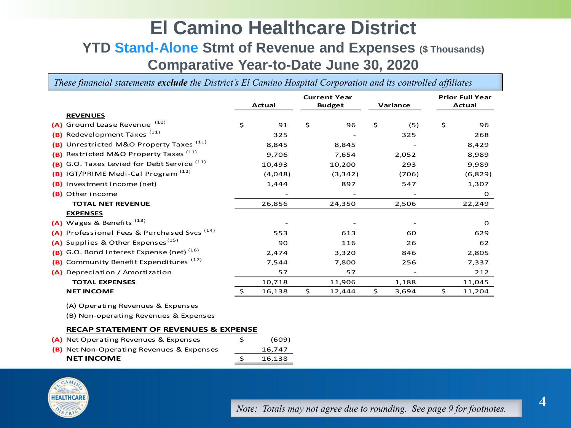### **El Camino Healthcare District YTD Stand-Alone Stmt of Revenue and Expenses (\$ Thousands) Comparative Year-to-Date June 30, 2020**

*These financial statements exclude the District's El Camino Hospital Corporation and its controlled affiliates*

|                                                           |               | <b>Current Year</b><br>Actual<br><b>Budget</b> |    | Variance |    | <b>Prior Full Year</b><br>Actual |     |         |
|-----------------------------------------------------------|---------------|------------------------------------------------|----|----------|----|----------------------------------|-----|---------|
| <b>REVENUES</b>                                           |               |                                                |    |          |    |                                  |     |         |
| Ground Lease Revenue <sup>(10)</sup><br>(A)               | \$            | 91                                             | \$ | 96       | \$ | (5)                              | \$  | 96      |
| Redevelopment Taxes <sup>(11)</sup><br>(B)                |               | 325                                            |    |          |    | 325                              |     | 268     |
| Unrestricted M&O Property Taxes <sup>(11)</sup><br>(B)    |               | 8,845                                          |    | 8,845    |    |                                  |     | 8,429   |
| Restricted M&O Property Taxes <sup>(11)</sup><br>(B)      |               | 9,706                                          |    | 7,654    |    | 2,052                            |     | 8,989   |
| G.O. Taxes Levied for Debt Service <sup>(11)</sup><br>(B) |               | 10,493                                         |    | 10,200   |    | 293                              |     | 9,989   |
| IGT/PRIME Medi-Cal Program <sup>(12)</sup><br>(B)         |               | (4,048)                                        |    | (3, 342) |    | (706)                            |     | (6,829) |
| Investment Income (net)<br>(B)                            |               | 1,444                                          |    | 897      |    | 547                              |     | 1,307   |
| Other income<br>(B)                                       |               |                                                |    |          |    |                                  |     | O       |
| <b>TOTAL NET REVENUE</b>                                  |               | 26,856                                         |    | 24,350   |    | 2.506                            |     | 22,249  |
| <b>EXPENSES</b>                                           |               |                                                |    |          |    |                                  |     |         |
| (A) Wages & Benefits <sup>(13)</sup>                      |               |                                                |    |          |    |                                  |     | O       |
| Professional Fees & Purchased Svcs <sup>(14)</sup><br>(A) |               | 553                                            |    | 613      |    | 60                               |     | 629     |
| Supplies & Other Expenses <sup>(15)</sup><br>(A)          |               | 90                                             |    | 116      |    | 26                               |     | 62      |
| G.O. Bond Interest Expense (net) <sup>(16)</sup><br>(B)   |               | 2,474                                          |    | 3,320    |    | 846                              |     | 2,805   |
| Community Benefit Expenditures <sup>(17)</sup><br>(B)     |               | 7,544                                          |    | 7,800    |    | 256                              |     | 7,337   |
| Depreciation / Amortization<br>(A)                        |               | 57                                             |    | 57       |    |                                  |     | 212     |
| <b>TOTAL EXPENSES</b>                                     |               | 10,718                                         |    | 11,906   |    | 1,188                            |     | 11,045  |
| <b>NET INCOME</b>                                         | $\frac{1}{2}$ | 16,138                                         | \$ | 12,444   | \$ | 3,694                            | \$. | 11,204  |
| (A) Operating Revenues & Expenses                         |               |                                                |    |          |    |                                  |     |         |

(B) Non-operating Revenues & Expenses

#### **RECAP STATEMENT OF REVENUES & EXPENSE**

| <b>(B)</b> Net Non-Operating Revenues & Expenses | 16.747 |
|--------------------------------------------------|--------|
| <b>NET INCOME</b>                                | 16.138 |

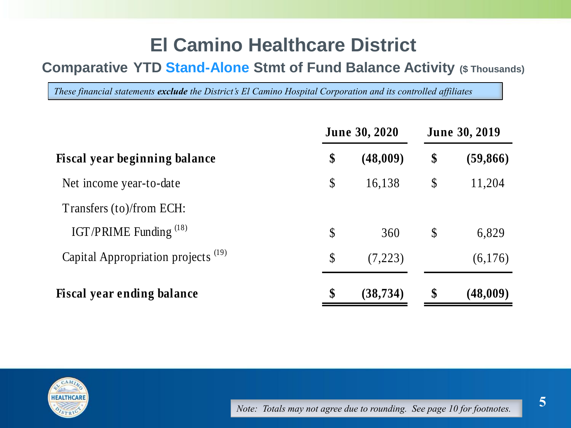# **El Camino Healthcare District**

### **Comparative YTD Stand-Alone Stmt of Fund Balance Activity (\$ Thousands)**

*These financial statements exclude the District's El Camino Hospital Corporation and its controlled affiliates*

|                                                |                           | <b>June 30, 2020</b> | <b>June 30, 2019</b>      |           |  |
|------------------------------------------------|---------------------------|----------------------|---------------------------|-----------|--|
| <b>Fiscal year beginning balance</b>           | \$                        | (48,009)             | \$                        | (59, 866) |  |
| Net income year-to-date                        | $\boldsymbol{\mathsf{S}}$ | 16,138               | $\boldsymbol{\mathsf{S}}$ | 11,204    |  |
| Transfers (to)/from ECH:                       |                           |                      |                           |           |  |
| IGT/PRIME Funding <sup>(18)</sup>              | $\mathcal{S}$             | 360                  | $\boldsymbol{\mathsf{S}}$ | 6,829     |  |
| Capital Appropriation projects <sup>(19)</sup> | $\mathcal{S}$             | (7,223)              |                           | (6,176)   |  |
| <b>Fiscal year ending balance</b>              | \$                        | (38, 734)            | \$                        | (48,009)  |  |

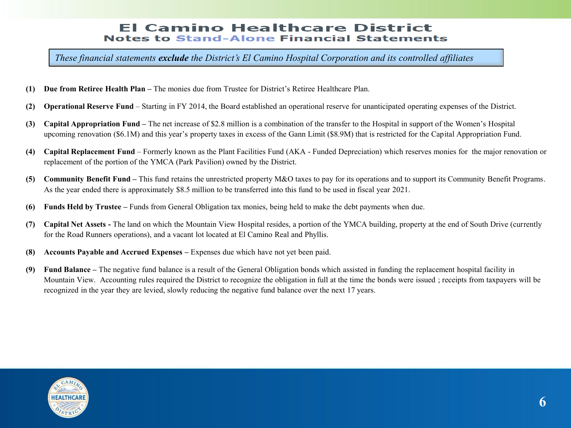#### **El Camino Healthcare District Notes to Stand-Alone Financial Statements**

*These financial statements exclude the District's El Camino Hospital Corporation and its controlled affiliates*

- **(1) Due from Retiree Health Plan –** The monies due from Trustee for District's Retiree Healthcare Plan.
- **(2) Operational Reserve Fund** Starting in FY 2014, the Board established an operational reserve for unanticipated operating expenses of the District.
- **(3) Capital Appropriation Fund –** The net increase of \$2.8 million is a combination of the transfer to the Hospital in support of the Women's Hospital upcoming renovation (\$6.1M) and this year's property taxes in excess of the Gann Limit (\$8.9M) that is restricted for the Capital Appropriation Fund.
- **(4) Capital Replacement Fund** Formerly known as the Plant Facilities Fund (AKA Funded Depreciation) which reserves monies for the major renovation or replacement of the portion of the YMCA (Park Pavilion) owned by the District.
- **(5) Community Benefit Fund –** This fund retains the unrestricted property M&O taxes to pay for its operations and to support its Community Benefit Programs. As the year ended there is approximately \$8.5 million to be transferred into this fund to be used in fiscal year 2021.
- **(6) Funds Held by Trustee –** Funds from General Obligation tax monies, being held to make the debt payments when due.
- **(7) Capital Net Assets -** The land on which the Mountain View Hospital resides, a portion of the YMCA building, property at the end of South Drive (currently for the Road Runners operations), and a vacant lot located at El Camino Real and Phyllis.
- **(8) Accounts Payable and Accrued Expenses –** Expenses due which have not yet been paid.
- **(9) Fund Balance –** The negative fund balance is a result of the General Obligation bonds which assisted in funding the replacement hospital facility in Mountain View. Accounting rules required the District to recognize the obligation in full at the time the bonds were issued ; receipts from taxpayers will be recognized in the year they are levied, slowly reducing the negative fund balance over the next 17 years.

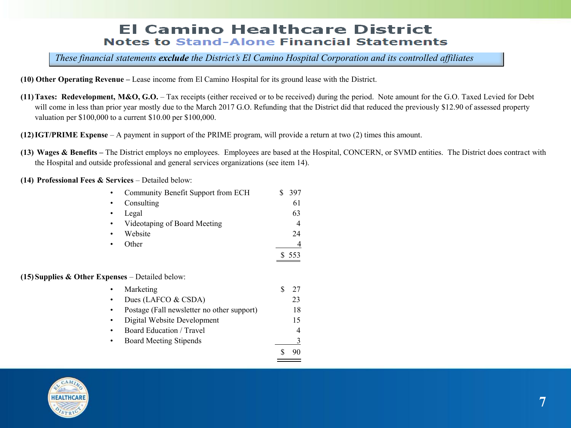#### **El Camino Healthcare District Notes to Stand-Alone Financial Statements**

*These financial statements exclude the District's El Camino Hospital Corporation and its controlled affiliates*

- **(10) Other Operating Revenue –** Lease income from El Camino Hospital for its ground lease with the District.
- **(11)Taxes: Redevelopment, M&O, G.O.**  Tax receipts (either received or to be received) during the period. Note amount for the G.O. Taxed Levied for Debt will come in less than prior year mostly due to the March 2017 G.O. Refunding that the District did that reduced the previously \$12.90 of assessed property valuation per \$100,000 to a current \$10.00 per \$100,000.
- **(12)IGT/PRIME Expense**  A payment in support of the PRIME program, will provide a return at two (2) times this amount.
- **(13) Wages & Benefits –** The District employs no employees. Employees are based at the Hospital, CONCERN, or SVMD entities. The District does contract with the Hospital and outside professional and general services organizations (see item 14).

**(14) Professional Fees & Services** – Detailed below:

|                                                    | Community Benefit Support from ECH         |   | 397 |
|----------------------------------------------------|--------------------------------------------|---|-----|
|                                                    | Consulting                                 |   | 61  |
|                                                    | Legal                                      |   | 63  |
|                                                    | Videotaping of Board Meeting               |   | 4   |
|                                                    | Website                                    |   | 24  |
|                                                    | Other                                      |   |     |
|                                                    |                                            |   | 553 |
| $(15)$ Supplies & Other Expenses – Detailed below: |                                            |   |     |
|                                                    | Marketing                                  | S | 27  |
|                                                    | Dues (LAFCO & CSDA)                        |   | 23  |
| ٠                                                  | Postage (Fall newsletter no other support) |   | 18  |
|                                                    | Digital Website Development                |   | 15  |
|                                                    | Board Education / Travel                   |   | 4   |
| ٠                                                  | Board Meeting Stipends                     |   |     |
|                                                    |                                            |   | 90  |
|                                                    |                                            |   |     |

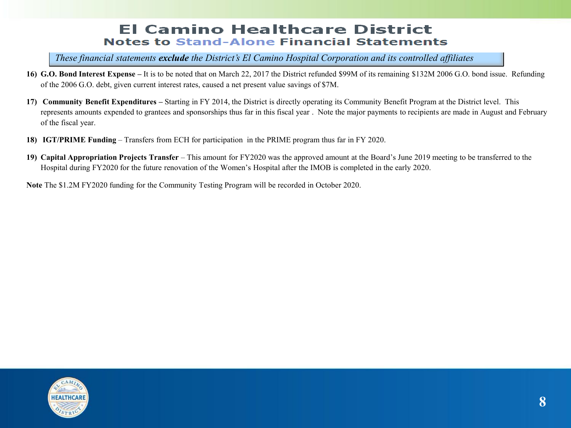#### **El Camino Healthcare District Notes to Stand-Alone Financial Statements**

*These financial statements exclude the District's El Camino Hospital Corporation and its controlled affiliates*

- **16) G.O. Bond Interest Expense –** It is to be noted that on March 22, 2017 the District refunded \$99M of its remaining \$132M 2006 G.O. bond issue. Refunding of the 2006 G.O. debt, given current interest rates, caused a net present value savings of \$7M.
- **17) Community Benefit Expenditures** Starting in FY 2014, the District is directly operating its Community Benefit Program at the District level. This represents amounts expended to grantees and sponsorships thus far in this fiscal year . Note the major payments to recipients are made in August and February of the fiscal year.
- **18) IGT/PRIME Funding** Transfers from ECH for participation in the PRIME program thus far in FY 2020.
- **19) Capital Appropriation Projects Transfer**  This amount for FY2020 was the approved amount at the Board's June 2019 meeting to be transferred to the Hospital during FY2020 for the future renovation of the Women's Hospital after the IMOB is completed in the early 2020.

**Note** The \$1.2M FY2020 funding for the Community Testing Program will be recorded in October 2020.